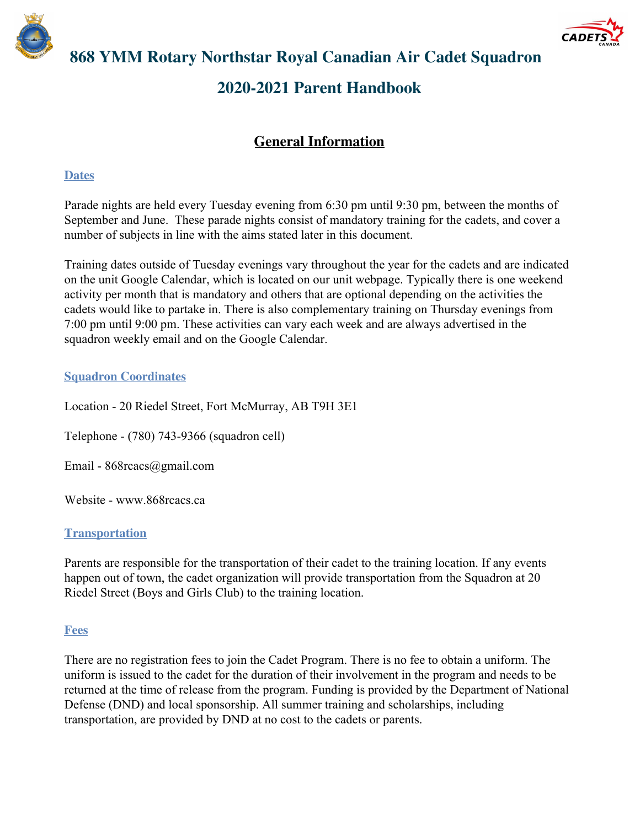



# **868 YMM Rotary Northstar Royal Canadian Air Cadet Squadron 2020-2021 Parent Handbook**

# **General Information**

### **Dates**

Parade nights are held every Tuesday evening from 6:30 pm until 9:30 pm, between the months of September and June. These parade nights consist of mandatory training for the cadets, and cover a number of subjects in line with the aims stated later in this document.

Training dates outside of Tuesday evenings vary throughout the year for the cadets and are indicated on the unit Google Calendar, which is located on our unit webpage. Typically there is one weekend activity per month that is mandatory and others that are optional depending on the activities the cadets would like to partake in. There is also complementary training on Thursday evenings from 7:00 pm until 9:00 pm. These activities can vary each week and are always advertised in the squadron weekly email and on the Google Calendar.

#### **Squadron Coordinates**

Location - 20 Riedel Street, Fort McMurray, AB T9H 3E1

Telephone - (780) 743-9366 (squadron cell)

Email - 868rcacs@gmail.com

Website - www.868rcacs.ca

#### **Transportation**

Parents are responsible for the transportation of their cadet to the training location. If any events happen out of town, the cadet organization will provide transportation from the Squadron at 20 Riedel Street (Boys and Girls Club) to the training location.

#### **Fees**

There are no registration fees to join the Cadet Program. There is no fee to obtain a uniform. The uniform is issued to the cadet for the duration of their involvement in the program and needs to be returned at the time of release from the program. Funding is provided by the Department of National Defense (DND) and local sponsorship. All summer training and scholarships, including transportation, are provided by DND at no cost to the cadets or parents.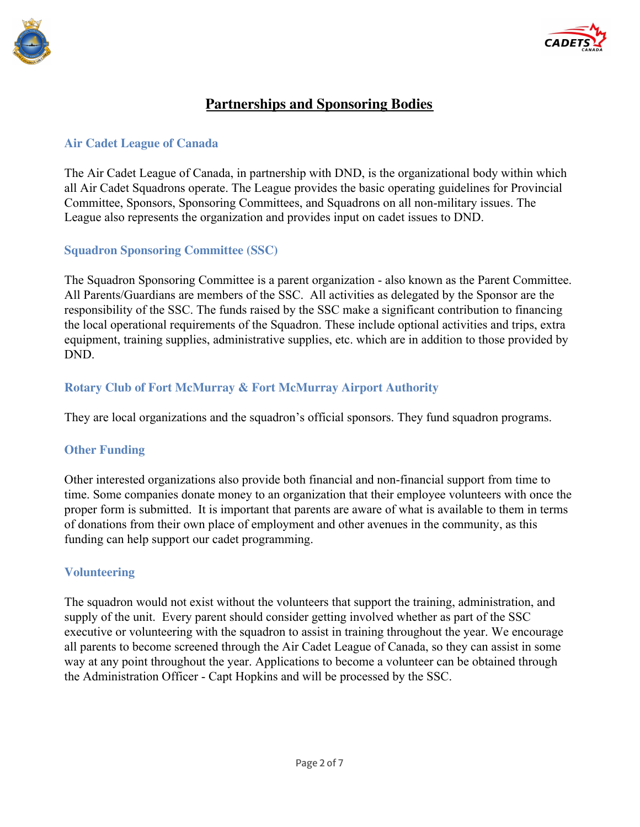



# **Partnerships and Sponsoring Bodies**

#### **Air Cadet League of Canada**

The Air Cadet League of Canada, in partnership with DND, is the organizational body within which all Air Cadet Squadrons operate. The League provides the basic operating guidelines for Provincial Committee, Sponsors, Sponsoring Committees, and Squadrons on all non-military issues. The League also represents the organization and provides input on cadet issues to DND.

#### **Squadron Sponsoring Committee (SSC)**

The Squadron Sponsoring Committee is a parent organization - also known as the Parent Committee. All Parents/Guardians are members of the SSC. All activities as delegated by the Sponsor are the responsibility of the SSC. The funds raised by the SSC make a significant contribution to financing the local operational requirements of the Squadron. These include optional activities and trips, extra equipment, training supplies, administrative supplies, etc. which are in addition to those provided by DND.

#### **Rotary Club of Fort McMurray & Fort McMurray Airport Authority**

They are local organizations and the squadron's official sponsors. They fund squadron programs.

#### **Other Funding**

Other interested organizations also provide both financial and non-financial support from time to time. Some companies donate money to an organization that their employee volunteers with once the proper form is submitted. It is important that parents are aware of what is available to them in terms of donations from their own place of employment and other avenues in the community, as this funding can help support our cadet programming.

#### **Volunteering**

The squadron would not exist without the volunteers that support the training, administration, and supply of the unit. Every parent should consider getting involved whether as part of the SSC executive or volunteering with the squadron to assist in training throughout the year. We encourage all parents to become screened through the Air Cadet League of Canada, so they can assist in some way at any point throughout the year. Applications to become a volunteer can be obtained through the Administration Officer - Capt Hopkins and will be processed by the SSC.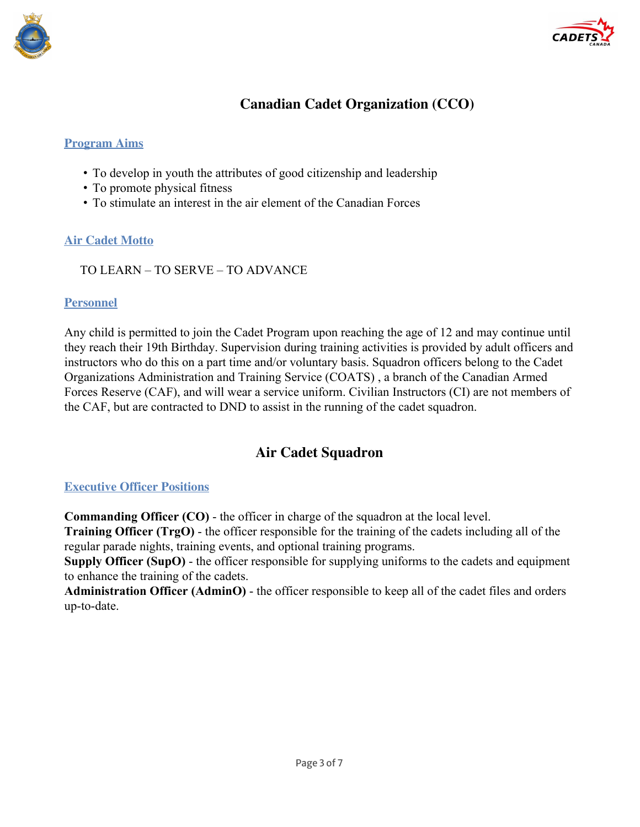



# **Canadian Cadet Organization (CCO)**

### **Program Aims**

- To develop in youth the attributes of good citizenship and leadership
- To promote physical fitness
- To stimulate an interest in the air element of the Canadian Forces

# **Air Cadet Motto**

TO LEARN – TO SERVE – TO ADVANCE

## **Personnel**

Any child is permitted to join the Cadet Program upon reaching the age of 12 and may continue until they reach their 19th Birthday. Supervision during training activities is provided by adult officers and instructors who do this on a part time and/or voluntary basis. Squadron officers belong to the Cadet Organizations Administration and Training Service (COATS) , a branch of the Canadian Armed Forces Reserve (CAF), and will wear a service uniform. Civilian Instructors (CI) are not members of the CAF, but are contracted to DND to assist in the running of the cadet squadron.

# **Air Cadet Squadron**

# **Executive Officer Positions**

**Commanding Officer (CO)** - the officer in charge of the squadron at the local level.

**Training Officer (TrgO)** - the officer responsible for the training of the cadets including all of the regular parade nights, training events, and optional training programs.

**Supply Officer (SupO)** - the officer responsible for supplying uniforms to the cadets and equipment to enhance the training of the cadets.

**Administration Officer (AdminO)** - the officer responsible to keep all of the cadet files and orders up-to-date.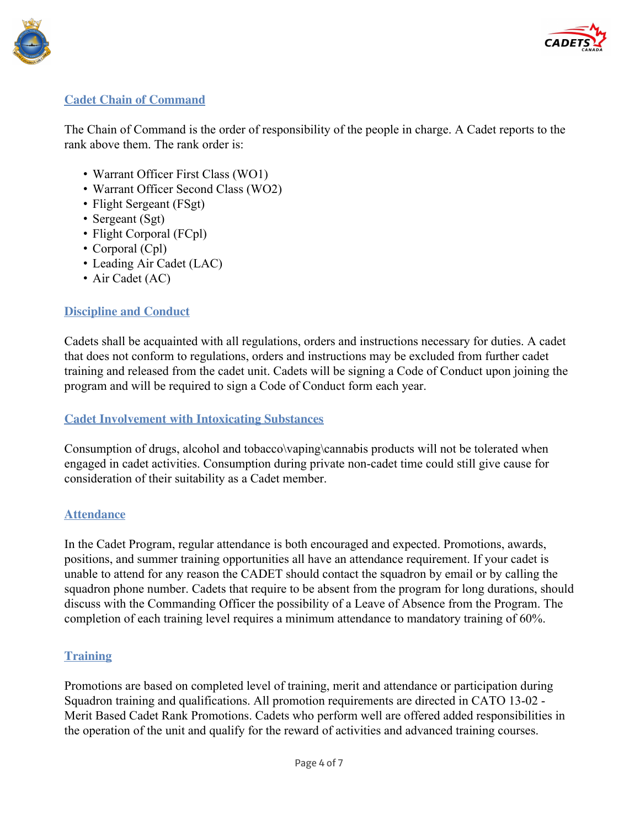



#### **Cadet Chain of Command**

The Chain of Command is the order of responsibility of the people in charge. A Cadet reports to the rank above them. The rank order is:

- Warrant Officer First Class (WO1)
- Warrant Officer Second Class (WO2)
- Flight Sergeant (FSgt)
- Sergeant (Sgt)
- Flight Corporal (FCpl)
- Corporal (Cpl)
- Leading Air Cadet (LAC)
- Air Cadet (AC)

#### **Discipline and Conduct**

Cadets shall be acquainted with all regulations, orders and instructions necessary for duties. A cadet that does not conform to regulations, orders and instructions may be excluded from further cadet training and released from the cadet unit. Cadets will be signing a Code of Conduct upon joining the program and will be required to sign a Code of Conduct form each year.

#### **Cadet Involvement with Intoxicating Substances**

Consumption of drugs, alcohol and tobacco\vaping\cannabis products will not be tolerated when engaged in cadet activities. Consumption during private non-cadet time could still give cause for consideration of their suitability as a Cadet member.

#### **Attendance**

In the Cadet Program, regular attendance is both encouraged and expected. Promotions, awards, positions, and summer training opportunities all have an attendance requirement. If your cadet is unable to attend for any reason the CADET should contact the squadron by email or by calling the squadron phone number. Cadets that require to be absent from the program for long durations, should discuss with the Commanding Officer the possibility of a Leave of Absence from the Program. The completion of each training level requires a minimum attendance to mandatory training of 60%.

#### **Training**

Promotions are based on completed level of training, merit and attendance or participation during Squadron training and qualifications. All promotion requirements are directed in CATO 13-02 - Merit Based Cadet Rank Promotions. Cadets who perform well are offered added responsibilities in the operation of the unit and qualify for the reward of activities and advanced training courses.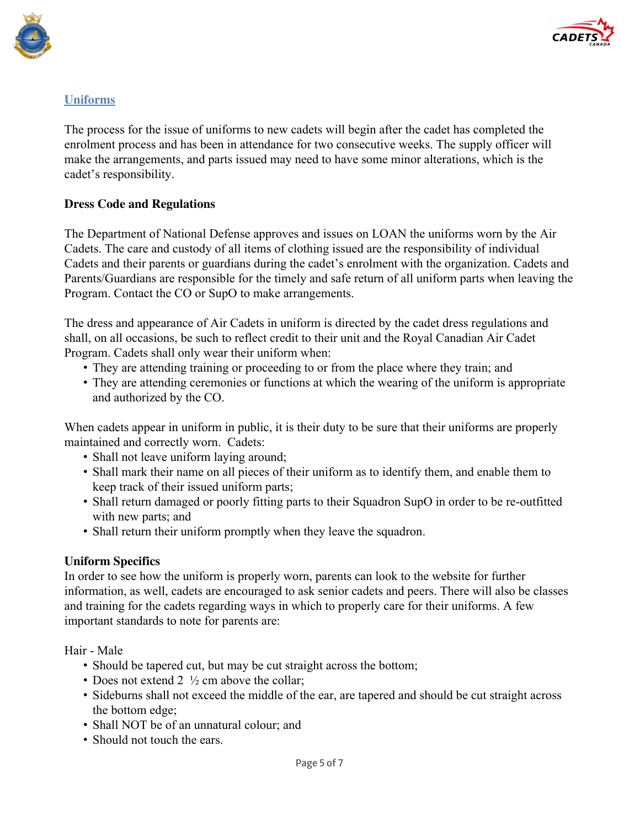



# **Uniforms**

The process for the issue of uniforms to new cadets will begin after the cadet has completed the enrolment process and has been in attendance for two consecutive weeks. The supply officer will make the arrangements, and parts issued may need to have some minor alterations, which is the cadet's responsibility.

#### **Dress Code and Regulations**

The Department of National Defense approves and issues on LOAN the uniforms worn by the Air Cadets. The care and custody of all items of clothing issued are the responsibility of individual Cadets and their parents or guardians during the cadet's enrolment with the organization. Cadets and Parents/Guardians are responsible for the timely and safe return of all uniform parts when leaving the Program. Contact the CO or SupO to make arrangements.

The dress and appearance of Air Cadets in uniform is directed by the cadet dress regulations and shall, on all occasions, be such to reflect credit to their unit and the Royal Canadian Air Cadet Program. Cadets shall only wear their uniform when:

- They are attending training or proceeding to or from the place where they train; and
- They are attending ceremonies or functions at which the wearing of the uniform is appropriate and authorized by the CO.

When cadets appear in uniform in public, it is their duty to be sure that their uniforms are properly maintained and correctly worn. Cadets:

- Shall not leave uniform laying around;
- Shall mark their name on all pieces of their uniform as to identify them, and enable them to keep track of their issued uniform parts;
- Shall return damaged or poorly fitting parts to their Squadron SupO in order to be re-outfitted with new parts; and
- Shall return their uniform promptly when they leave the squadron.

#### **Uniform Specifics**

In order to see how the uniform is properly worn, parents can look to the website for further information, as well, cadets are encouraged to ask senior cadets and peers. There will also be classes and training for the cadets regarding ways in which to properly care for their uniforms. A few important standards to note for parents are:

Hair - Male

- Should be tapered cut, but may be cut straight across the bottom;
- Does not extend 2  $\frac{1}{2}$  cm above the collar:
- Sideburns shall not exceed the middle of the ear, are tapered and should be cut straight across the bottom edge;
- Shall NOT be of an unnatural colour; and
- Should not touch the ears.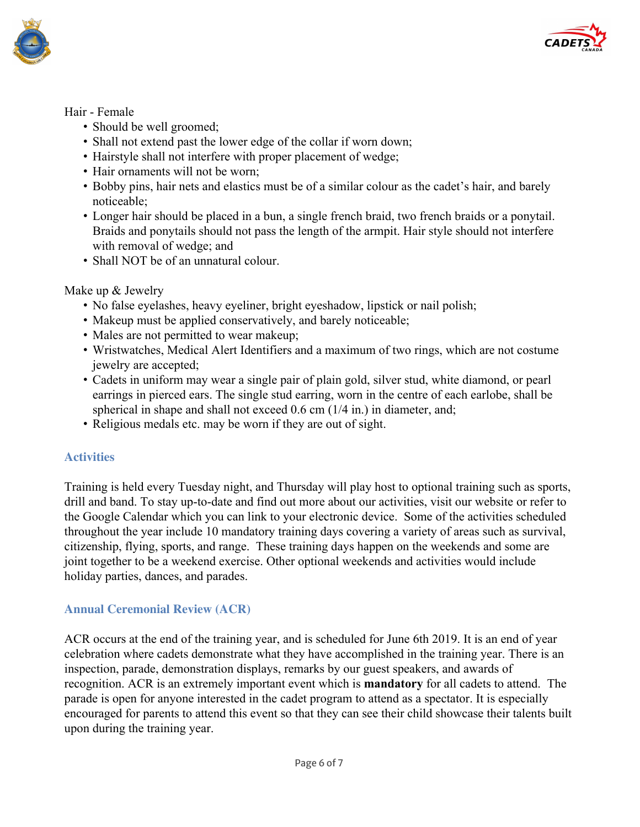



#### Hair - Female

- Should be well groomed;
- Shall not extend past the lower edge of the collar if worn down;
- Hairstyle shall not interfere with proper placement of wedge;
- Hair ornaments will not be worn;
- Bobby pins, hair nets and elastics must be of a similar colour as the cadet's hair, and barely noticeable;
- Longer hair should be placed in a bun, a single french braid, two french braids or a ponytail. Braids and ponytails should not pass the length of the armpit. Hair style should not interfere with removal of wedge; and
- Shall NOT be of an unnatural colour.

#### Make up & Jewelry

- No false eyelashes, heavy eyeliner, bright eyeshadow, lipstick or nail polish;
- Makeup must be applied conservatively, and barely noticeable;
- Males are not permitted to wear makeup;
- Wristwatches, Medical Alert Identifiers and a maximum of two rings, which are not costume jewelry are accepted;
- Cadets in uniform may wear a single pair of plain gold, silver stud, white diamond, or pearl earrings in pierced ears. The single stud earring, worn in the centre of each earlobe, shall be spherical in shape and shall not exceed 0.6 cm (1/4 in.) in diameter, and;
- Religious medals etc. may be worn if they are out of sight.

# **Activities**

Training is held every Tuesday night, and Thursday will play host to optional training such as sports, drill and band. To stay up-to-date and find out more about our activities, visit our website or refer to the Google Calendar which you can link to your electronic device. Some of the activities scheduled throughout the year include 10 mandatory training days covering a variety of areas such as survival, citizenship, flying, sports, and range. These training days happen on the weekends and some are joint together to be a weekend exercise. Other optional weekends and activities would include holiday parties, dances, and parades.

# **Annual Ceremonial Review (ACR)**

ACR occurs at the end of the training year, and is scheduled for June 6th 2019. It is an end of year celebration where cadets demonstrate what they have accomplished in the training year. There is an inspection, parade, demonstration displays, remarks by our guest speakers, and awards of recognition. ACR is an extremely important event which is **mandatory** for all cadets to attend. The parade is open for anyone interested in the cadet program to attend as a spectator. It is especially encouraged for parents to attend this event so that they can see their child showcase their talents built upon during the training year.